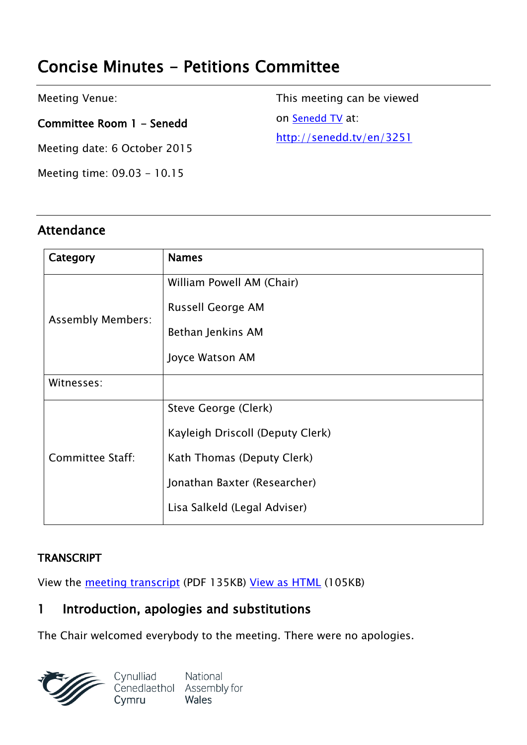# **Concise Minutes - Petitions Committee**

Meeting Venue:

**Committee Room 1 - Senedd**

Meeting date: 6 October 2015

Meeting time: 09.03 - 10.15

**Attendance**

This meeting can be viewed on [Senedd](http://senedd.tv/) TV at: http:/[/senedd](http://senedd.tv/en/3251).tv/en/3251

| Category                 | <b>Names</b>                     |
|--------------------------|----------------------------------|
| <b>Assembly Members:</b> | William Powell AM (Chair)        |
|                          | Russell George AM                |
|                          | Bethan Jenkins AM                |
|                          | Joyce Watson AM                  |
| Witnesses:               |                                  |
| Committee Staff:         | Steve George (Clerk)             |
|                          | Kayleigh Driscoll (Deputy Clerk) |
|                          | Kath Thomas (Deputy Clerk)       |
|                          | Jonathan Baxter (Researcher)     |
|                          | Lisa Salkeld (Legal Adviser)     |

#### **TRANSCRIPT**

View the meeting [transcript](http://www.senedd.assembly.wales/documents/s44708/6%20October%202015.pdf) (PDF 135KB) View as [HTML](http://www.senedd.assembly.wales/documents/s44708/6%20October%202015.html?CT=2) (105KB)

# **1 Introduction, apologies and substitutions**

The Chair welcomed everybody to the meeting. There were no apologies.

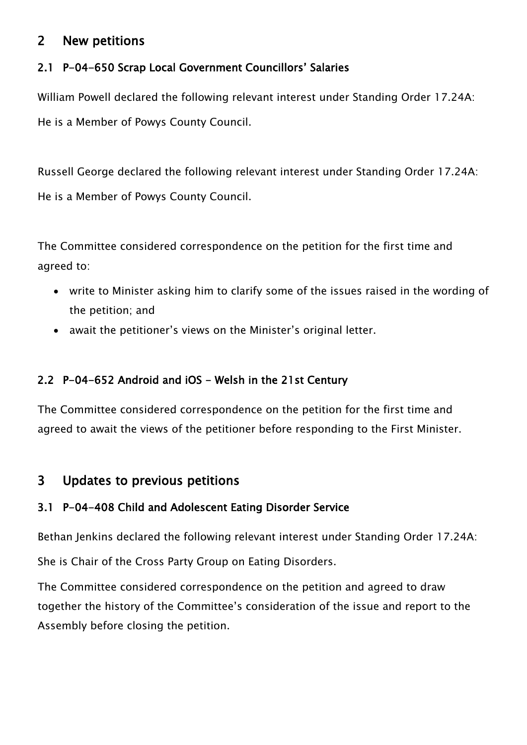# **2 New petitions**

#### **2.1 P-04-650 Scrap Local Government Councillors' Salaries**

William Powell declared the following relevant interest under Standing Order 17.24A: He is a Member of Powys County Council.

Russell George declared the following relevant interest under Standing Order 17.24A: He is a Member of Powys County Council.

The Committee considered correspondence on the petition for the first time and agreed to:

- write to Minister asking him to clarify some of the issues raised in the wording of the petition; and
- await the petitioner's views on the Minister's original letter.

### **2.2 P-04-652 Android and iOS - Welsh in the 21st Century**

The Committee considered correspondence on the petition for the first time and agreed to await the views of the petitioner before responding to the First Minister.

# **3 Updates to previous petitions**

#### **3.1 P-04-408 Child and Adolescent Eating Disorder Service**

Bethan Jenkins declared the following relevant interest under Standing Order 17.24A:

She is Chair of the Cross Party Group on Eating Disorders.

The Committee considered correspondence on the petition and agreed to draw together the history of the Committee's consideration of the issue and report to the Assembly before closing the petition.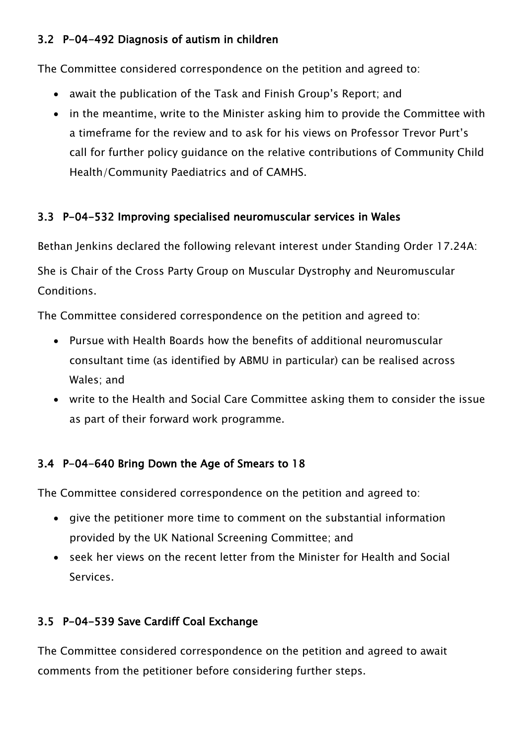#### **3.2 P-04-492 Diagnosis of autism in children**

The Committee considered correspondence on the petition and agreed to:

- await the publication of the Task and Finish Group's Report; and
- in the meantime, write to the Minister asking him to provide the Committee with a timeframe for the review and to ask for his views on Professor Trevor Purt's call for further policy guidance on the relative contributions of Community Child Health/Community Paediatrics and of CAMHS.

#### **3.3 P-04-532 Improving specialised neuromuscular services in Wales**

Bethan Jenkins declared the following relevant interest under Standing Order 17.24A:

She is Chair of the Cross Party Group on Muscular Dystrophy and Neuromuscular **Conditions** 

The Committee considered correspondence on the petition and agreed to:

- Pursue with Health Boards how the benefits of additional neuromuscular consultant time (as identified by ABMU in particular) can be realised across Wales; and
- write to the Health and Social Care Committee asking them to consider the issue as part of their forward work programme.

# **3.4 P-04-640 Bring Down the Age of Smears to 18**

The Committee considered correspondence on the petition and agreed to:

- give the petitioner more time to comment on the substantial information provided by the UK National Screening Committee; and
- seek her views on the recent letter from the Minister for Health and Social Services.

# **3.5 P-04-539 Save Cardiff Coal Exchange**

The Committee considered correspondence on the petition and agreed to await comments from the petitioner before considering further steps.